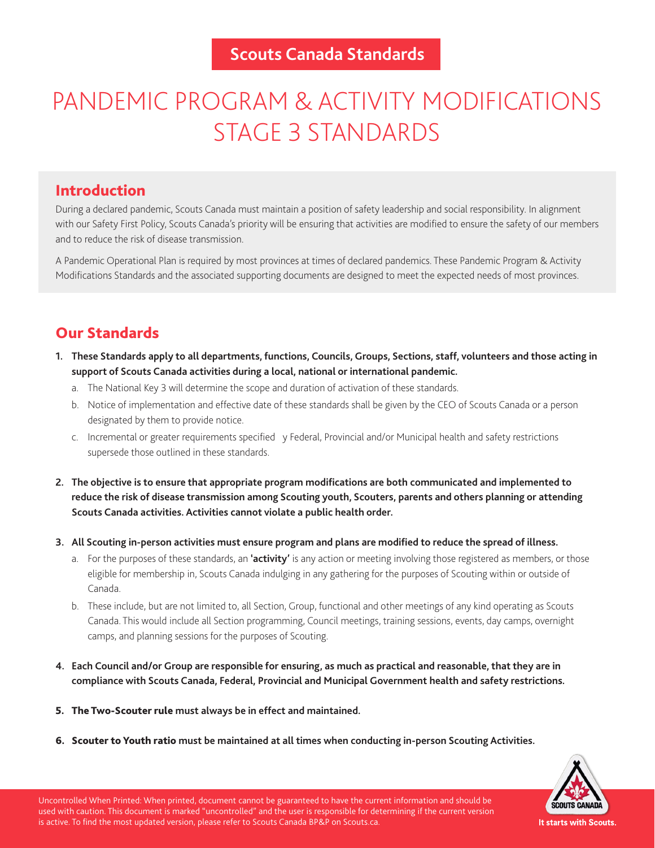# PANDEMIC PROGRAM & ACTIVITY MODIFICATIONS STAGE 3 STANDARDS

# Introduction

During a declared pandemic, Scouts Canada must maintain a position of safety leadership and social responsibility. In alignment with our Safety First Policy, Scouts Canada's priority will be ensuring that activities are modified to ensure the safety of our members and to reduce the risk of disease transmission.

A Pandemic Operational Plan is required by most provinces at times of declared pandemics. These Pandemic Program & Activity Modifications Standards and the associated supporting documents are designed to meet the expected needs of most provinces.

# Our Standards

- **1. These Standards apply to all departments, functions, Councils, Groups, Sections, staff, volunteers and those acting in support of Scouts Canada activities during a local, national or international pandemic.**
	- a. The National Key 3 will determine the scope and duration of activation of these standards.
	- b. Notice of implementation and effective date of these standards shall be given by the CEO of Scouts Canada or a person designated by them to provide notice.
	- c. Incremental or greater requirements specified y Federal, Provincial and/or Municipal health and safety restrictions supersede those outlined in these standards.
- **2. The objective is to ensure that appropriate program modifications are both communicated and implemented to reduce the risk of disease transmission among Scouting youth, Scouters, parents and others planning or attending Scouts Canada activities. Activities cannot violate a public health order.**
- **3. All Scouting in-person activities must ensure program and plans are modified to reduce the spread of illness.**
	- a. For the purposes of these standards, an **'activity'** is any action or meeting involving those registered as members, or those eligible for membership in, Scouts Canada indulging in any gathering for the purposes of Scouting within or outside of Canada.
	- b. These include, but are not limited to, all Section, Group, functional and other meetings of any kind operating as Scouts Canada. This would include all Section programming, Council meetings, training sessions, events, day camps, overnight camps, and planning sessions for the purposes of Scouting.
- **4. Each Council and/or Group are responsible for ensuring, as much as practical and reasonable, that they are in compliance with Scouts Canada, Federal, Provincial and Municipal Government health and safety restrictions.**
- 5. The Two-Scouter rule **must always be in effect and maintained.**
- 6. Scouter to Youth ratio **must be maintained at all times when conducting in-person Scouting Activities.**

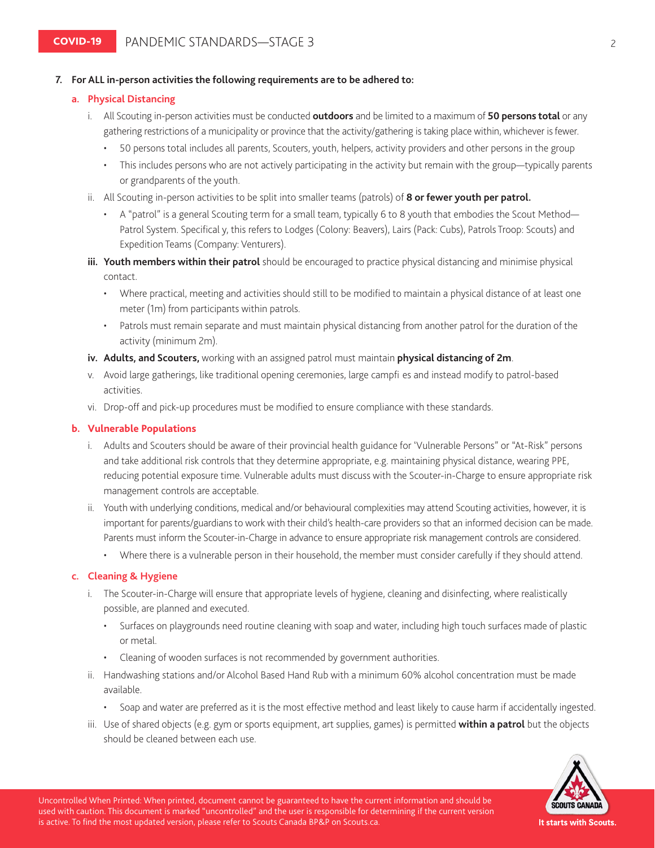#### **7. For ALL in-person activities the following requirements are to be adhered to:**

#### **a. Physical Distancing**

- i. All Scouting in-person activities must be conducted **outdoors** and be limited to a maximum of **50 persons total** or any gathering restrictions of a municipality or province that the activity/gathering is taking place within, whichever is fewer.
	- 50 persons total includes all parents, Scouters, youth, helpers, activity providers and other persons in the group
	- This includes persons who are not actively participating in the activity but remain with the group—typically parents or grandparents of the youth.
- ii. All Scouting in-person activities to be split into smaller teams (patrols) of **8 or fewer youth per patrol.**
	- A "patrol" is a general Scouting term for a small team, typically 6 to 8 youth that embodies the Scout Method— Patrol System. Specifical y, this refers to Lodges (Colony: Beavers), Lairs (Pack: Cubs), Patrols Troop: Scouts) and Expedition Teams (Company: Venturers).
- **iii. Youth members within their patrol** should be encouraged to practice physical distancing and minimise physical contact.
	- Where practical, meeting and activities should still to be modified to maintain a physical distance of at least one meter (1m) from participants within patrols.
	- Patrols must remain separate and must maintain physical distancing from another patrol for the duration of the activity (minimum 2m).
- **iv. Adults, and Scouters,** working with an assigned patrol must maintain **physical distancing of 2m**.
- v. Avoid large gatherings, like traditional opening ceremonies, large campfi es and instead modify to patrol-based activities.
- vi. Drop-off and pick-up procedures must be modified to ensure compliance with these standards.

#### **b. Vulnerable Populations**

- i. Adults and Scouters should be aware of their provincial health guidance for 'Vulnerable Persons" or "At-Risk" persons and take additional risk controls that they determine appropriate, e.g. maintaining physical distance, wearing PPE, reducing potential exposure time. Vulnerable adults must discuss with the Scouter-in-Charge to ensure appropriate risk management controls are acceptable.
- ii. Youth with underlying conditions, medical and/or behavioural complexities may attend Scouting activities, however, it is important for parents/guardians to work with their child's health-care providers so that an informed decision can be made. Parents must inform the Scouter-in-Charge in advance to ensure appropriate risk management controls are considered.
	- Where there is a vulnerable person in their household, the member must consider carefully if they should attend.

#### **c. Cleaning & Hygiene**

- i. The Scouter-in-Charge will ensure that appropriate levels of hygiene, cleaning and disinfecting, where realistically possible, are planned and executed.
	- Surfaces on playgrounds need routine cleaning with soap and water, including high touch surfaces made of plastic or metal.
	- Cleaning of wooden surfaces is not recommended by government authorities.
- ii. Handwashing stations and/or Alcohol Based Hand Rub with a minimum 60% alcohol concentration must be made available.
	- Soap and water are preferred as it is the most effective method and least likely to cause harm if accidentally ingested.
- iii. Use of shared objects (e.g. gym or sports equipment, art supplies, games) is permitted **within a patrol** but the objects should be cleaned between each use.

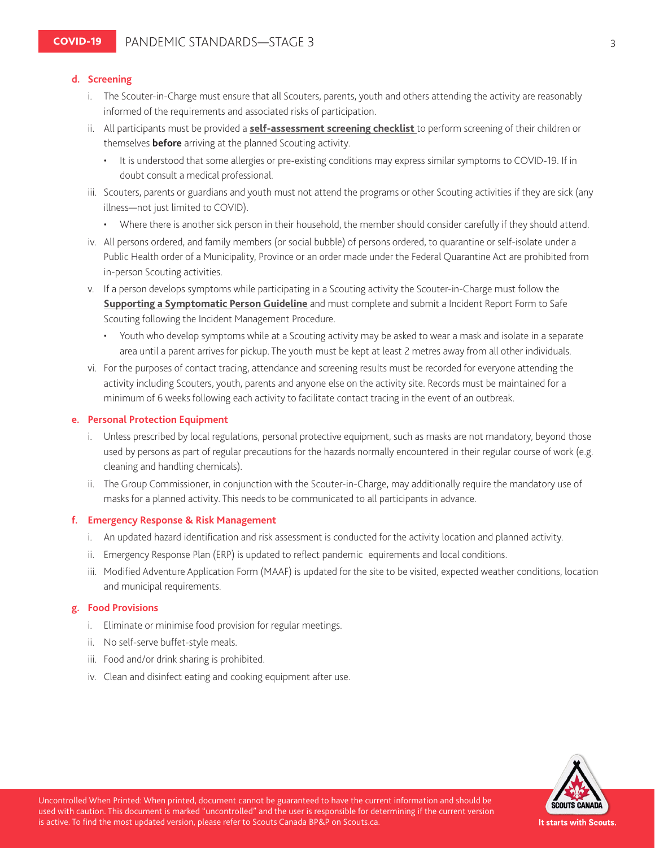#### **d. Screening**

- i. The Scouter-in-Charge must ensure that all Scouters, parents, youth and others attending the activity are reasonably informed of the requirements and associated risks of participation.
- ii. All participants must be provided a **[self-assessment screening checklist](https://scoutsca.s3.amazonaws.com/2020/08/self-assessment-screening-checklist.pdf)** to perform screening of their children or themselves **before** arriving at the planned Scouting activity.
	- It is understood that some allergies or pre-existing conditions may express similar symptoms to COVID-19. If in doubt consult a medical professional.
- iii. Scouters, parents or guardians and youth must not attend the programs or other Scouting activities if they are sick (any illness—not just limited to COVID).
	- Where there is another sick person in their household, the member should consider carefully if they should attend.
- iv. All persons ordered, and family members (or social bubble) of persons ordered, to quarantine or self-isolate under a Public Health order of a Municipality, Province or an order made under the Federal Quarantine Act are prohibited from in-person Scouting activities.
- v. If a person develops symptoms while participating in a Scouting activity the Scouter-in-Charge must follow the **[Supporting a Symptomatic Person Guideline](https://scoutsca.s3.amazonaws.com/2020/08/supporting-a-symptomatic-person-guide.pdf)** and must complete and submit a Incident Report Form to Safe Scouting following the Incident Management Procedure.
	- Youth who develop symptoms while at a Scouting activity may be asked to wear a mask and isolate in a separate area until a parent arrives for pickup. The youth must be kept at least 2 metres away from all other individuals.
- vi. For the purposes of contact tracing, attendance and screening results must be recorded for everyone attending the activity including Scouters, youth, parents and anyone else on the activity site. Records must be maintained for a minimum of 6 weeks following each activity to facilitate contact tracing in the event of an outbreak.

#### **e. Personal Protection Equipment**

- i. Unless prescribed by local regulations, personal protective equipment, such as masks are not mandatory, beyond those used by persons as part of regular precautions for the hazards normally encountered in their regular course of work (e.g. cleaning and handling chemicals).
- ii. The Group Commissioner, in conjunction with the Scouter-in-Charge, may additionally require the mandatory use of masks for a planned activity. This needs to be communicated to all participants in advance.

#### **f. Emergency Response & Risk Management**

- i. An updated hazard identification and risk assessment is conducted for the activity location and planned activity.
- ii. Emergency Response Plan (ERP) is updated to reflect pandemic equirements and local conditions.
- iii. Modified Adventure Application Form (MAAF) is updated for the site to be visited, expected weather conditions, location and municipal requirements.

#### **g. Food Provisions**

- i. Eliminate or minimise food provision for regular meetings.
- ii. No self-serve buffet-style meals.
- iii. Food and/or drink sharing is prohibited.
- iv. Clean and disinfect eating and cooking equipment after use.